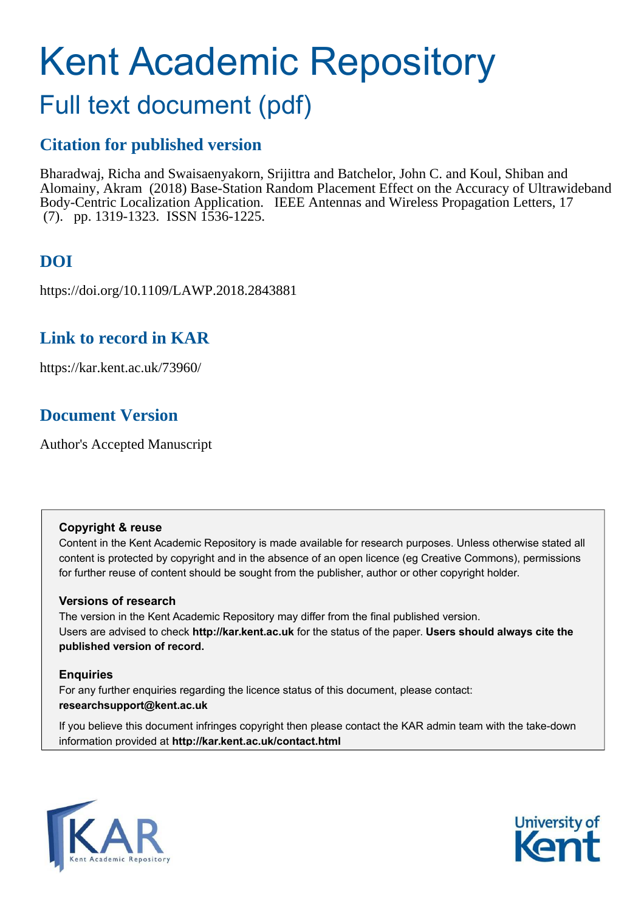# Kent Academic Repository

# Full text document (pdf)

## **Citation for published version**

Bharadwaj, Richa and Swaisaenyakorn, Srijittra and Batchelor, John C. and Koul, Shiban and Alomainy, Akram (2018) Base-Station Random Placement Effect on the Accuracy of Ultrawideband Body-Centric Localization Application. IEEE Antennas and Wireless Propagation Letters, 17 (7). pp. 1319-1323. ISSN 1536-1225.

# **DOI**

https://doi.org/10.1109/LAWP.2018.2843881

### **Link to record in KAR**

https://kar.kent.ac.uk/73960/

### **Document Version**

Author's Accepted Manuscript

### **Copyright & reuse**

Content in the Kent Academic Repository is made available for research purposes. Unless otherwise stated all content is protected by copyright and in the absence of an open licence (eg Creative Commons), permissions for further reuse of content should be sought from the publisher, author or other copyright holder.

### **Versions of research**

The version in the Kent Academic Repository may differ from the final published version. Users are advised to check **http://kar.kent.ac.uk** for the status of the paper. **Users should always cite the published version of record.**

### **Enquiries**

For any further enquiries regarding the licence status of this document, please contact: **researchsupport@kent.ac.uk**

If you believe this document infringes copyright then please contact the KAR admin team with the take-down information provided at **http://kar.kent.ac.uk/contact.html**



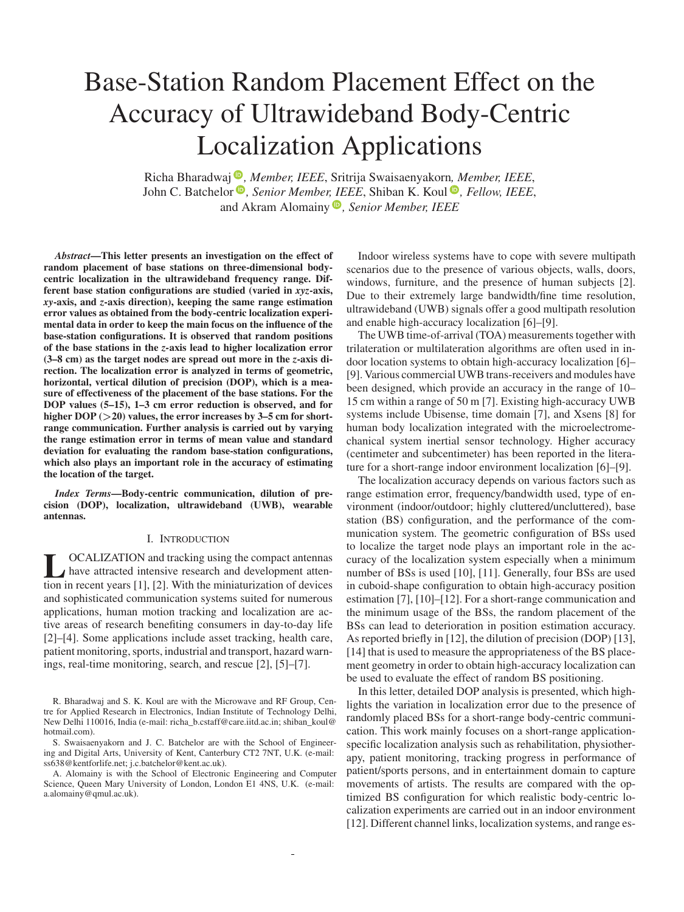# Base-Station Random Placement Effect on the Accuracy of Ultrawideband Body-Centric Localization Applications

Richa Bharadwaj *[,](https://orcid.org/0000-0001-8626-7248) Member, IEEE*, Sritrija Swaisaenyakorn*, Member, IEEE*, John C. Batchelor<sup>®</sup>[,](https://orcid.org/0000-0003-1761-217X) Senior Member, IEEE, Shiban K. Koul<sup>®</sup>, Fellow, IEEE, and Akram Alomainy<sup>(D</sup>[,](https://orcid.org/0000-0002-5802-9194) Senior Member, IEEE

*Abstract***—This letter presents an investigation on the effect of random placement of base stations on three-dimensional bodycentric localization in the ultrawideband frequency range. Different base station configurations are studied (varied in** *xyz***-axis,** *xy***-axis, and** *z***-axis direction), keeping the same range estimation error values as obtained from the body-centric localization experimental data in order to keep the main focus on the influence of the base-station configurations. It is observed that random positions of the base stations in the** *z-***axis lead to higher localization error (3–8 cm) as the target nodes are spread out more in the** *z***-axis direction. The localization error is analyzed in terms of geometric, horizontal, vertical dilution of precision (DOP), which is a measure of effectiveness of the placement of the base stations. For the DOP values (5–15), 1–3 cm error reduction is observed, and for higher DOP (**>**20) values, the error increases by 3–5 cm for shortrange communication. Further analysis is carried out by varying the range estimation error in terms of mean value and standard deviation for evaluating the random base-station configurations, which also plays an important role in the accuracy of estimating the location of the target.**

*Index Terms***—Body-centric communication, dilution of precision (DOP), localization, ultrawideband (UWB), wearable antennas.**

### I. INTRODUCTION

**LALIZATION** and tracking using the compact antennas have attracted intensive research and development attention in recent years [1], [2]. With the miniaturization of devices OCALIZATION and tracking using the compact antennas have attracted intensive research and development attenand sophisticated communication systems suited for numerous applications, human motion tracking and localization are active areas of research benefiting consumers in day-to-day life [2]–[4]. Some applications include asset tracking, health care, patient monitoring, sports, industrial and transport, hazard warnings, real-time monitoring, search, and rescue [2], [5]–[7].

R. Bharadwaj and S. K. Koul are with the Microwave and RF Group, Centre for Applied Research in Electronics, Indian Institute of Technology Delhi, New Delhi 110016, India (e-mail: richa\_b.cstaff@care.iitd.ac.in; shiban\_koul@ hotmail.com).

S. Swaisaenyakorn and J. C. [Batchelor](mailto:richa_b.cstaff@care.iitd.ac.in) are with the School of [Engineer-](mailto:shiban_koul@global advance reakcnt @ne penalty -@M hotmail.com)ing and [Digit](mailto:shiban_koul@global advance reakcnt @ne penalty -@M hotmail.com)al Arts, University of Kent, Canterbury CT2 7NT, U.K. (e-mail: ss638@kentforlife.net; j.c.batchelor@kent.ac.uk).

A. Alomainy is with the School of Electronic Engineering and Computer [Science,](mailto:ss638@kentforlife.net) Queen Mary [University](mailto:j.c.batchelor@kent.ac.uk) of London, London E1 4NS, U.K. (e-mail: a.alomainy@qmul.ac.uk).

Indoor wireless systems have to cope with severe multipath scenarios due to the presence of various objects, walls, doors, windows, furniture, and the presence of human subjects [2]. Due to their extremely large bandwidth/fine time resolution, ultrawideband (UWB) signals offer a good multipath resolution and enable high-accuracy localization [6]–[9].

The UWB time-of-arrival (TOA) measurements together with trilateration or multilateration algorithms are often used in indoor location systems to obtain high-accuracy localization [6]– [9]. Various commercial UWB trans-receivers and modules have been designed, which provide an accuracy in the range of 10– 15 cm within a range of 50 m [7]. Existing high-accuracy UWB systems include Ubisense, time domain [7], and Xsens [8] for human body localization integrated with the microelectromechanical system inertial sensor technology. Higher accuracy (centimeter and subcentimeter) has been reported in the literature for a short-range indoor environment localization [6]–[9].

The localization accuracy depends on various factors such as range estimation error, frequency/bandwidth used, type of environment (indoor/outdoor; highly cluttered/uncluttered), base station (BS) configuration, and the performance of the communication system. The geometric configuration of BSs used to localize the target node plays an important role in the accuracy of the localization system especially when a minimum number of BSs is used [10], [11]. Generally, four BSs are used in cuboid-shape configuration to obtain high-accuracy position estimation [7], [10]–[12]. For a short-range communication and the minimum usage of the BSs, the random placement of the BSs can lead to deterioration in position estimation accuracy. As reported briefly in [12], the dilution of precision (DOP) [13], [14] that is used to measure the appropriateness of the BS placement geometry in order to obtain high-accuracy localization can be used to evaluate the effect of random BS positioning.

In this letter, detailed DOP analysis is presented, which highlights the variation in localization error due to the presence of randomly placed BSs for a short-range body-centric communication. This work mainly focuses on a short-range applicationspecific localization analysis such as rehabilitation, physiotherapy, patient monitoring, tracking progress in performance of patient/sports persons, and in entertainment domain to capture movements of artists. The results are compared with the optimized BS configuration for which realistic body-centric localization experiments are carried out in an indoor environment [12]. Different channel links, localization systems, and range es-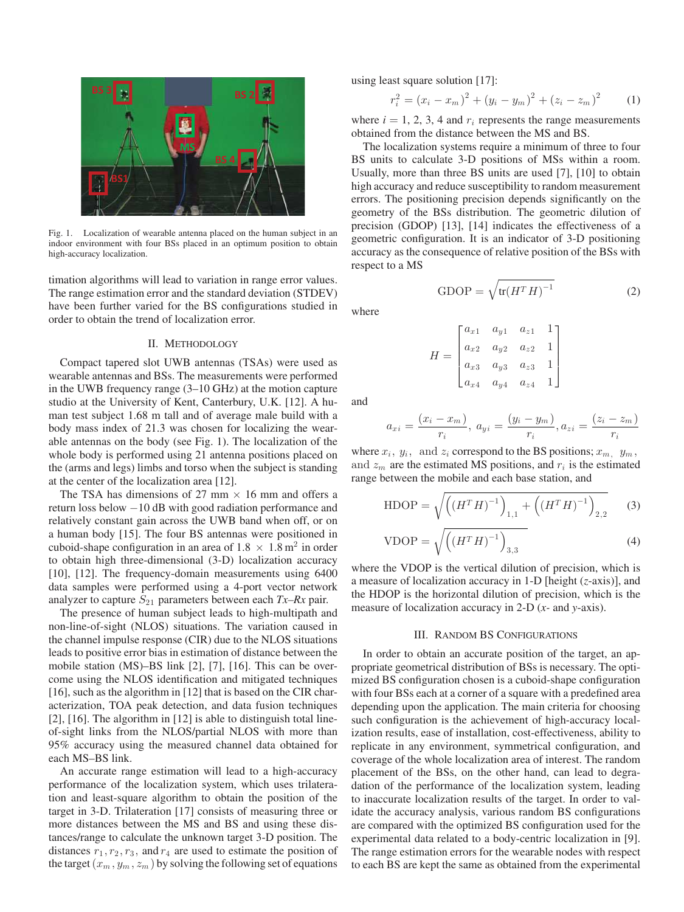

Fig. 1. Localization of wearable antenna placed on the human subject in an indoor environment with four BSs placed in an optimum position to obtain high-accuracy localization.

timation algorithms will lead to variation in range error values. The range estimation error and the standard deviation (STDEV) have been further varied for the BS configurations studied in order to obtain the trend of localization error.

### II. METHODOLOGY

Compact tapered slot UWB antennas (TSAs) were used as wearable antennas and BSs. The measurements were performed in the UWB frequency range (3–10 GHz) at the motion capture studio at the University of Kent, Canterbury, U.K. [12]. A human test subject 1.68 m tall and of average male build with a body mass index of 21.3 was chosen for localizing the wearable antennas on the body (see Fig. 1). The localization of the whole body is performed using 21 antenna positions placed on the (arms and legs) limbs and torso when the subject is standing at the center of the localization area [12].

The TSA has dimensions of 27 mm  $\times$  16 mm and offers a return loss below −10 dB with good radiation performance and relatively constant gain across the UWB band when off, or on a human body [15]. The four BS antennas were positioned in cuboid-shape configuration in an area of  $1.8 \times 1.8$  m<sup>2</sup> in order to obtain high three-dimensional (3-D) localization accuracy [10], [12]. The frequency-domain measurements using 6400 data samples were performed using a 4-port vector network analyzer to capture  $S_{21}$  parameters between each  $Tx-Rx$  pair.

The presence of human subject leads to high-multipath and non-line-of-sight (NLOS) situations. The variation caused in the channel impulse response (CIR) due to the NLOS situations leads to positive error bias in estimation of distance between the mobile station (MS)–BS link [2], [7], [16]. This can be overcome using the NLOS identification and mitigated techniques [16], such as the algorithm in [12] that is based on the CIR characterization, TOA peak detection, and data fusion techniques [2], [16]. The algorithm in [12] is able to distinguish total lineof-sight links from the NLOS/partial NLOS with more than 95% accuracy using the measured channel data obtained for each MS–BS link.

An accurate range estimation will lead to a high-accuracy performance of the localization system, which uses trilateration and least-square algorithm to obtain the position of the target in 3-D. Trilateration [17] consists of measuring three or more distances between the MS and BS and using these distances/range to calculate the unknown target 3-D position. The distances  $r_1, r_2, r_3$ , and  $r_4$  are used to estimate the position of the target  $(x_m, y_m, z_m)$  by solving the following set of equations

using least square solution [17]:

$$
r_i^2 = (x_i - x_m)^2 + (y_i - y_m)^2 + (z_i - z_m)^2 \tag{1}
$$

where  $i = 1, 2, 3, 4$  and  $r_i$  represents the range measurements obtained from the distance between the MS and BS.

The localization systems require a minimum of three to four BS units to calculate 3-D positions of MSs within a room. Usually, more than three BS units are used [7], [10] to obtain high accuracy and reduce susceptibility to random measurement errors. The positioning precision depends significantly on the geometry of the BSs distribution. The geometric dilution of precision (GDOP) [13], [14] indicates the effectiveness of a geometric configuration. It is an indicator of 3-D positioning accuracy as the consequence of relative position of the BSs with respect to a MS

GDOP = 
$$
\sqrt{\text{tr}(H^T H)^{-1}}
$$
 (2)

where

$$
H = \begin{bmatrix} a_{x1} & a_{y1} & a_{z1} & 1 \\ a_{x2} & a_{y2} & a_{z2} & 1 \\ a_{x3} & a_{y3} & a_{z3} & 1 \\ a_{x4} & a_{y4} & a_{z4} & 1 \end{bmatrix}
$$

and

$$
a_{xi} = \frac{(x_i - x_m)}{r_i}, \ a_{yi} = \frac{(y_i - y_m)}{r_i}, a_{zi} = \frac{(z_i - z_m)}{r_i}
$$

where  $x_i$ ,  $y_i$ , and  $z_i$  correspond to the BS positions;  $x_m$ ,  $y_m$ , and  $z_m$  are the estimated MS positions, and  $r_i$  is the estimated range between the mobile and each base station, and

HDOP = 
$$
\sqrt{\left((H^T H)^{-1}\right)_{1,1} + \left((H^T H)^{-1}\right)_{2,2}}
$$
 (3)

$$
VDOP = \sqrt{\left(\left(H^T H\right)^{-1}\right)_{3,3}}\tag{4}
$$

where the VDOP is the vertical dilution of precision, which is a measure of localization accuracy in 1-D [height (*z*-axis)], and the HDOP is the horizontal dilution of precision, which is the measure of localization accuracy in 2-D (*x-* and *y*-axis).

### III. RANDOM BS CONFIGURATIONS

In order to obtain an accurate position of the target, an appropriate geometrical distribution of BSs is necessary. The optimized BS configuration chosen is a cuboid-shape configuration with four BSs each at a corner of a square with a predefined area depending upon the application. The main criteria for choosing such configuration is the achievement of high-accuracy localization results, ease of installation, cost-effectiveness, ability to replicate in any environment, symmetrical configuration, and coverage of the whole localization area of interest. The random placement of the BSs, on the other hand, can lead to degradation of the performance of the localization system, leading to inaccurate localization results of the target. In order to validate the accuracy analysis, various random BS configurations are compared with the optimized BS configuration used for the experimental data related to a body-centric localization in [9]. The range estimation errors for the wearable nodes with respect to each BS are kept the same as obtained from the experimental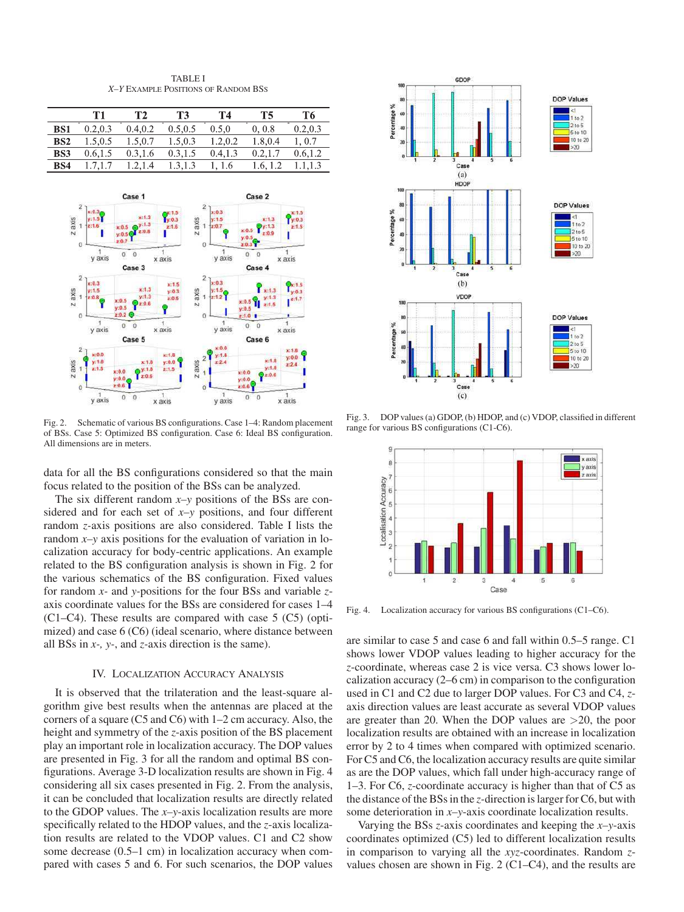TABLE I *X–Y* EXAMPLE POSITIONS OF RANDOM BSS

|                 | Т1      | T2      | T3       | Т4      | Т5       | T6       |
|-----------------|---------|---------|----------|---------|----------|----------|
| <b>BS1</b>      | 0.2.0.3 | 0.4.0.2 | 0.5, 0.5 | 0.5.0   | 0, 0.8   | 0.2, 0.3 |
| BS <sub>2</sub> | 1.5,0.5 | 1.5,0.7 | 1.5.0.3  | 1.2,0.2 | 1.8,0.4  | 1, 0.7   |
| BS3             | 0.6.1.5 | 0.3.1.6 | 0.3.1.5  | 0.4.1.3 | 0.2.1.7  | 0.6, 1.2 |
| BS4             | 1.7.1.7 | 1.2,1.4 | 1.3,1.3  | 1, 1.6  | 1.6, 1.2 | 1.1,1.3  |



Fig. 2. Schematic of various BS configurations. Case 1–4: Random placement of BSs. Case 5: Optimized BS configuration. Case 6: Ideal BS configuration. All dimensions are in meters.

data for all the BS configurations considered so that the main focus related to the position of the BSs can be analyzed.

The six different random *x–y* positions of the BSs are considered and for each set of *x–y* positions, and four different random *z-*axis positions are also considered. Table I lists the random *x–y* axis positions for the evaluation of variation in localization accuracy for body-centric applications. An example related to the BS configuration analysis is shown in Fig. 2 for the various schematics of the BS configuration. Fixed values for random *x-* and *y-*positions for the four BSs and variable *z*axis coordinate values for the BSs are considered for cases 1–4 (C1–C4). These results are compared with case 5 (C5) (optimized) and case 6 (C6) (ideal scenario, where distance between all BSs in *x-, y-*, and *z-*axis direction is the same).

### IV. LOCALIZATION ACCURACY ANALYSIS

It is observed that the trilateration and the least-square algorithm give best results when the antennas are placed at the corners of a square (C5 and C6) with 1–2 cm accuracy. Also, the height and symmetry of the *z*-axis position of the BS placement play an important role in localization accuracy. The DOP values are presented in Fig. 3 for all the random and optimal BS configurations. Average 3-D localization results are shown in Fig. 4 considering all six cases presented in Fig. 2. From the analysis, it can be concluded that localization results are directly related to the GDOP values. The *x–y*-axis localization results are more specifically related to the HDOP values, and the *z*-axis localization results are related to the VDOP values. C1 and C2 show some decrease (0.5–1 cm) in localization accuracy when compared with cases 5 and 6. For such scenarios, the DOP values



Fig. 3. DOP values (a) GDOP, (b) HDOP, and (c) VDOP, classified in different range for various BS configurations (C1-C6).



Fig. 4. Localization accuracy for various BS configurations (C1–C6).

are similar to case 5 and case 6 and fall within 0.5–5 range. C1 shows lower VDOP values leading to higher accuracy for the *z*-coordinate, whereas case 2 is vice versa. C3 shows lower localization accuracy (2–6 cm) in comparison to the configuration used in C1 and C2 due to larger DOP values. For C3 and C4, *z*axis direction values are least accurate as several VDOP values are greater than 20. When the DOP values are >20, the poor localization results are obtained with an increase in localization error by 2 to 4 times when compared with optimized scenario. For C5 and C6, the localization accuracy results are quite similar as are the DOP values, which fall under high-accuracy range of 1–3. For C6, *z*-coordinate accuracy is higher than that of C5 as the distance of the BSs in the *z-*direction is larger for C6, but with some deterioration in *x–y*-axis coordinate localization results.

Varying the BSs *z*-axis coordinates and keeping the *x–y*-axis coordinates optimized (C5) led to different localization results in comparison to varying all the *xyz*-coordinates. Random *z*values chosen are shown in Fig. 2 (C1–C4), and the results are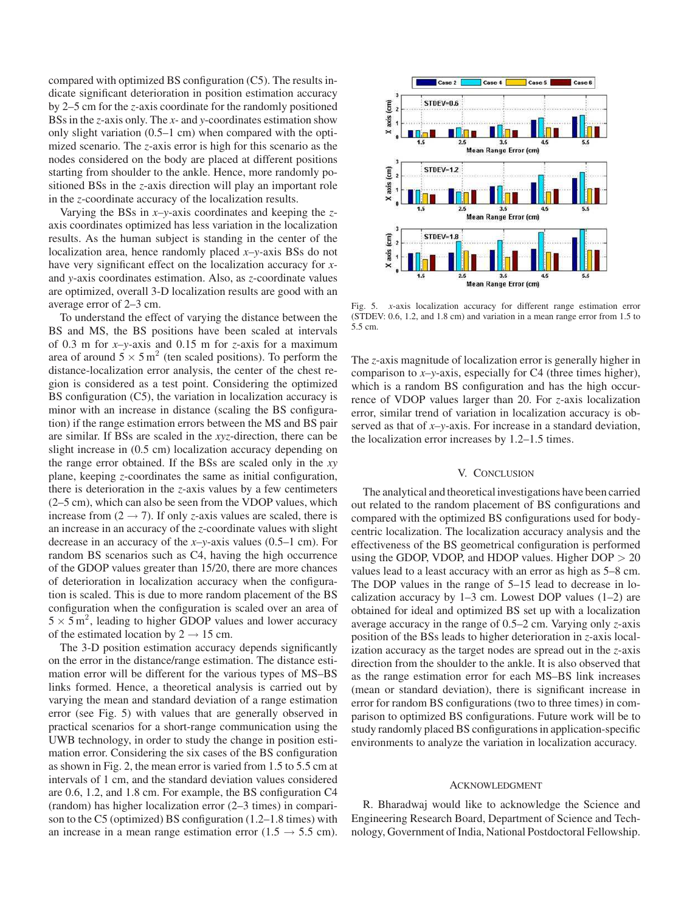compared with optimized BS configuration (C5). The results indicate significant deterioration in position estimation accuracy by 2–5 cm for the *z-*axis coordinate for the randomly positioned BSs in the *z*-axis only. The *x-* and *y*-coordinates estimation show only slight variation (0.5–1 cm) when compared with the optimized scenario. The *z*-axis error is high for this scenario as the nodes considered on the body are placed at different positions starting from shoulder to the ankle. Hence, more randomly positioned BSs in the *z*-axis direction will play an important role in the *z*-coordinate accuracy of the localization results.

Varying the BSs in *x–y*-axis coordinates and keeping the *z*axis coordinates optimized has less variation in the localization results. As the human subject is standing in the center of the localization area, hence randomly placed *x–y-*axis BSs do not have very significant effect on the localization accuracy for *x*and *y*-axis coordinates estimation. Also, as *z*-coordinate values are optimized, overall 3-D localization results are good with an average error of 2–3 cm.

To understand the effect of varying the distance between the BS and MS, the BS positions have been scaled at intervals of 0.3 m for *x–y-*axis and 0.15 m for *z*-axis for a maximum area of around  $5 \times 5$  m<sup>2</sup> (ten scaled positions). To perform the distance-localization error analysis, the center of the chest region is considered as a test point. Considering the optimized BS configuration (C5), the variation in localization accuracy is minor with an increase in distance (scaling the BS configuration) if the range estimation errors between the MS and BS pair are similar. If BSs are scaled in the *xyz*-direction, there can be slight increase in (0.5 cm) localization accuracy depending on the range error obtained. If the BSs are scaled only in the *xy* plane, keeping *z*-coordinates the same as initial configuration, there is deterioration in the *z*-axis values by a few centimeters (2–5 cm), which can also be seen from the VDOP values, which increase from  $(2 \rightarrow 7)$ . If only *z*-axis values are scaled, there is an increase in an accuracy of the *z*-coordinate values with slight decrease in an accuracy of the *x–y*-axis values (0.5–1 cm). For random BS scenarios such as C4, having the high occurrence of the GDOP values greater than 15/20, there are more chances of deterioration in localization accuracy when the configuration is scaled. This is due to more random placement of the BS configuration when the configuration is scaled over an area of  $5 \times 5$  m<sup>2</sup>, leading to higher GDOP values and lower accuracy of the estimated location by  $2 \rightarrow 15$  cm.

The 3-D position estimation accuracy depends significantly on the error in the distance/range estimation. The distance estimation error will be different for the various types of MS–BS links formed. Hence, a theoretical analysis is carried out by varying the mean and standard deviation of a range estimation error (see Fig. 5) with values that are generally observed in practical scenarios for a short-range communication using the UWB technology, in order to study the change in position estimation error. Considering the six cases of the BS configuration as shown in Fig. 2, the mean error is varied from 1.5 to 5.5 cm at intervals of 1 cm, and the standard deviation values considered are 0.6, 1.2, and 1.8 cm. For example, the BS configuration C4 (random) has higher localization error (2–3 times) in comparison to the C5 (optimized) BS configuration (1.2–1.8 times) with an increase in a mean range estimation error  $(1.5 \rightarrow 5.5 \text{ cm})$ .



Fig. 5. *x*-axis localization accuracy for different range estimation error (STDEV: 0.6, 1.2, and 1.8 cm) and variation in a mean range error from 1.5 to 5.5 cm.

The *z*-axis magnitude of localization error is generally higher in comparison to *x–y*-axis, especially for C4 (three times higher), which is a random BS configuration and has the high occurrence of VDOP values larger than 20. For *z*-axis localization error, similar trend of variation in localization accuracy is observed as that of *x–y*-axis. For increase in a standard deviation, the localization error increases by 1.2–1.5 times.

### V. CONCLUSION

The analytical and theoretical investigations have been carried out related to the random placement of BS configurations and compared with the optimized BS configurations used for bodycentric localization. The localization accuracy analysis and the effectiveness of the BS geometrical configuration is performed using the GDOP, VDOP, and HDOP values. Higher DOP > 20 values lead to a least accuracy with an error as high as 5–8 cm. The DOP values in the range of 5–15 lead to decrease in localization accuracy by  $1-3$  cm. Lowest DOP values  $(1-2)$  are obtained for ideal and optimized BS set up with a localization average accuracy in the range of 0.5–2 cm. Varying only *z*-axis position of the BSs leads to higher deterioration in *z*-axis localization accuracy as the target nodes are spread out in the *z*-axis direction from the shoulder to the ankle. It is also observed that as the range estimation error for each MS–BS link increases (mean or standard deviation), there is significant increase in error for random BS configurations (two to three times) in comparison to optimized BS configurations. Future work will be to study randomly placed BS configurations in application-specific environments to analyze the variation in localization accuracy.

#### ACKNOWLEDGMENT

R. Bharadwaj would like to acknowledge the Science and Engineering Research Board, Department of Science and Technology, Government of India, National Postdoctoral Fellowship.